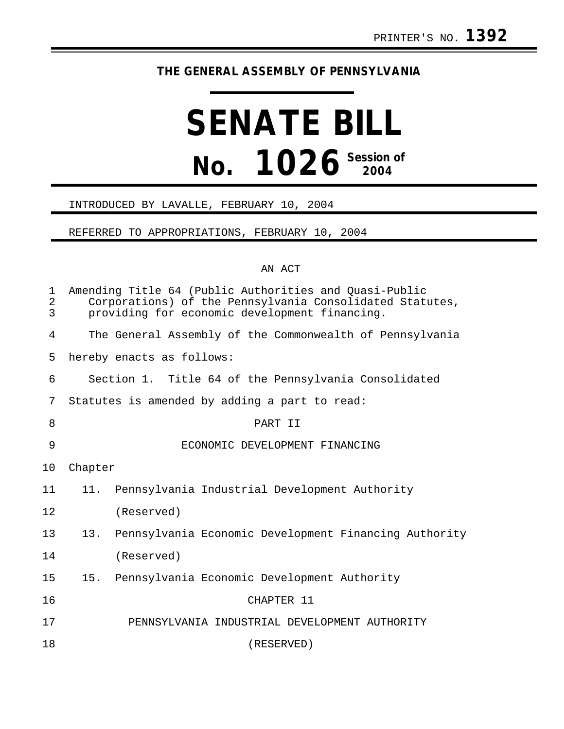## **THE GENERAL ASSEMBLY OF PENNSYLVANIA**

# **SENATE BILL No. 1026 Session of 2004**

#### INTRODUCED BY LAVALLE, FEBRUARY 10, 2004

#### REFERRED TO APPROPRIATIONS, FEBRUARY 10, 2004

### AN ACT

| 1<br>$\overline{2}$<br>3 |                                                      | Amending Title 64 (Public Authorities and Quasi-Public<br>Corporations) of the Pennsylvania Consolidated Statutes,<br>providing for economic development financing. |  |
|--------------------------|------------------------------------------------------|---------------------------------------------------------------------------------------------------------------------------------------------------------------------|--|
| $\overline{4}$           |                                                      | The General Assembly of the Commonwealth of Pennsylvania                                                                                                            |  |
| 5                        |                                                      | hereby enacts as follows:                                                                                                                                           |  |
| 6                        | Section 1. Title 64 of the Pennsylvania Consolidated |                                                                                                                                                                     |  |
| 7                        |                                                      | Statutes is amended by adding a part to read:                                                                                                                       |  |
| 8                        |                                                      | PART II                                                                                                                                                             |  |
| 9                        |                                                      | ECONOMIC DEVELOPMENT FINANCING                                                                                                                                      |  |
| 10                       | Chapter                                              |                                                                                                                                                                     |  |
| 11                       |                                                      | 11. Pennsylvania Industrial Development Authority                                                                                                                   |  |
| 12                       |                                                      | (Reserved)                                                                                                                                                          |  |
| 13                       | 13.                                                  | Pennsylvania Economic Development Financing Authority                                                                                                               |  |
| 14                       |                                                      | (Reserved)                                                                                                                                                          |  |
| 15                       | 15.                                                  | Pennsylvania Economic Development Authority                                                                                                                         |  |
| 16                       |                                                      | CHAPTER 11                                                                                                                                                          |  |
| 17                       |                                                      | PENNSYLVANIA INDUSTRIAL DEVELOPMENT AUTHORITY                                                                                                                       |  |
| 18                       |                                                      | (RESERVED)                                                                                                                                                          |  |
|                          |                                                      |                                                                                                                                                                     |  |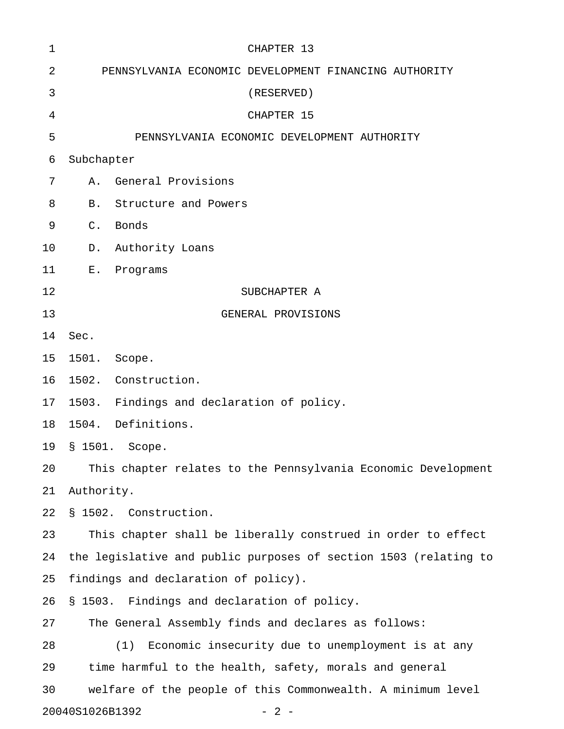| 1  | CHAPTER 13                                                       |
|----|------------------------------------------------------------------|
| 2  | PENNSYLVANIA ECONOMIC DEVELOPMENT FINANCING AUTHORITY            |
| 3  | (RESERVED)                                                       |
| 4  | CHAPTER 15                                                       |
| 5  | PENNSYLVANIA ECONOMIC DEVELOPMENT AUTHORITY                      |
| 6  | Subchapter                                                       |
| 7  | General Provisions<br>Α.                                         |
| 8  | Structure and Powers<br>B.                                       |
| 9  | $C$ .<br>Bonds                                                   |
| 10 | Authority Loans<br>$D$ .                                         |
| 11 | E.<br>Programs                                                   |
| 12 | SUBCHAPTER A                                                     |
| 13 | GENERAL PROVISIONS                                               |
| 14 | Sec.                                                             |
| 15 | 1501. Scope.                                                     |
| 16 | 1502. Construction.                                              |
| 17 | Findings and declaration of policy.<br>1503.                     |
| 18 | 1504. Definitions.                                               |
| 19 | § 1501. Scope.                                                   |
| 20 | This chapter relates to the Pennsylvania Economic Development    |
| 21 | Authority.                                                       |
| 22 | § 1502. Construction.                                            |
| 23 | This chapter shall be liberally construed in order to effect     |
| 24 | the legislative and public purposes of section 1503 (relating to |
| 25 | findings and declaration of policy).                             |
| 26 | § 1503. Findings and declaration of policy.                      |
| 27 | The General Assembly finds and declares as follows:              |
| 28 | Economic insecurity due to unemployment is at any<br>(1)         |
| 29 | time harmful to the health, safety, morals and general           |
| 30 | welfare of the people of this Commonwealth. A minimum level      |
|    | 20040S1026B1392<br>$-2-$                                         |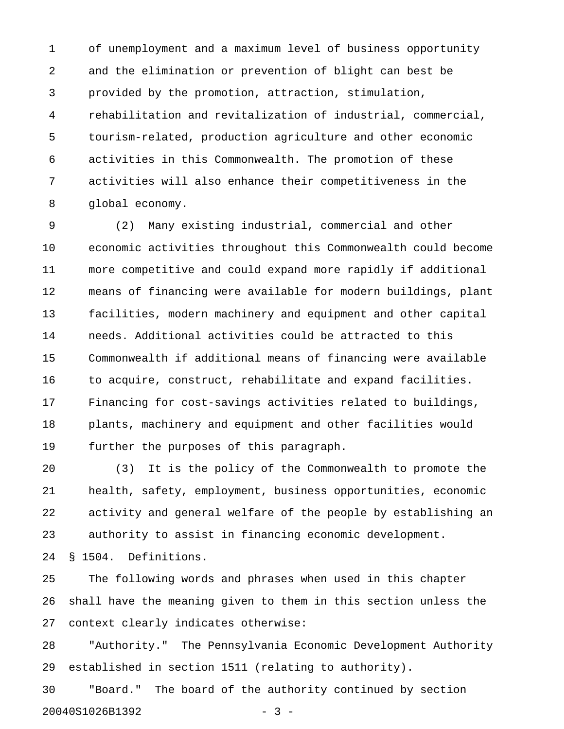1 of unemployment and a maximum level of business opportunity 2 and the elimination or prevention of blight can best be 3 provided by the promotion, attraction, stimulation, 4 rehabilitation and revitalization of industrial, commercial, 5 tourism-related, production agriculture and other economic 6 activities in this Commonwealth. The promotion of these 7 activities will also enhance their competitiveness in the 8 global economy.

9 (2) Many existing industrial, commercial and other 10 economic activities throughout this Commonwealth could become 11 more competitive and could expand more rapidly if additional 12 means of financing were available for modern buildings, plant 13 facilities, modern machinery and equipment and other capital 14 needs. Additional activities could be attracted to this 15 Commonwealth if additional means of financing were available 16 to acquire, construct, rehabilitate and expand facilities. 17 Financing for cost-savings activities related to buildings, 18 plants, machinery and equipment and other facilities would 19 further the purposes of this paragraph.

20 (3) It is the policy of the Commonwealth to promote the 21 health, safety, employment, business opportunities, economic 22 activity and general welfare of the people by establishing an 23 authority to assist in financing economic development.

24 § 1504. Definitions.

25 The following words and phrases when used in this chapter 26 shall have the meaning given to them in this section unless the 27 context clearly indicates otherwise:

28 "Authority." The Pennsylvania Economic Development Authority 29 established in section 1511 (relating to authority).

30 "Board." The board of the authority continued by section 20040S1026B1392 - 3 -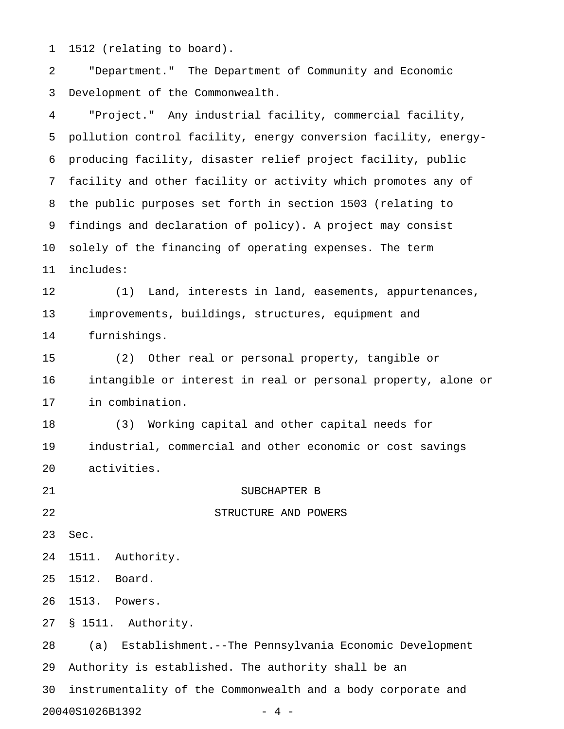1 1512 (relating to board).

2 "Department." The Department of Community and Economic 3 Development of the Commonwealth.

4 "Project." Any industrial facility, commercial facility, 5 pollution control facility, energy conversion facility, energy-6 producing facility, disaster relief project facility, public 7 facility and other facility or activity which promotes any of 8 the public purposes set forth in section 1503 (relating to 9 findings and declaration of policy). A project may consist 10 solely of the financing of operating expenses. The term 11 includes: 12 (1) Land, interests in land, easements, appurtenances, 13 improvements, buildings, structures, equipment and 14 furnishings. 15 (2) Other real or personal property, tangible or 16 intangible or interest in real or personal property, alone or 17 in combination. 18 (3) Working capital and other capital needs for 19 industrial, commercial and other economic or cost savings 20 activities. 21 SUBCHAPTER B 22 STRUCTURE AND POWERS 23 Sec. 24 1511. Authority. 25 1512. Board. 26 1513. Powers. 27 § 1511. Authority. 28 (a) Establishment.--The Pennsylvania Economic Development 29 Authority is established. The authority shall be an 30 instrumentality of the Commonwealth and a body corporate and 20040S1026B1392 - 4 -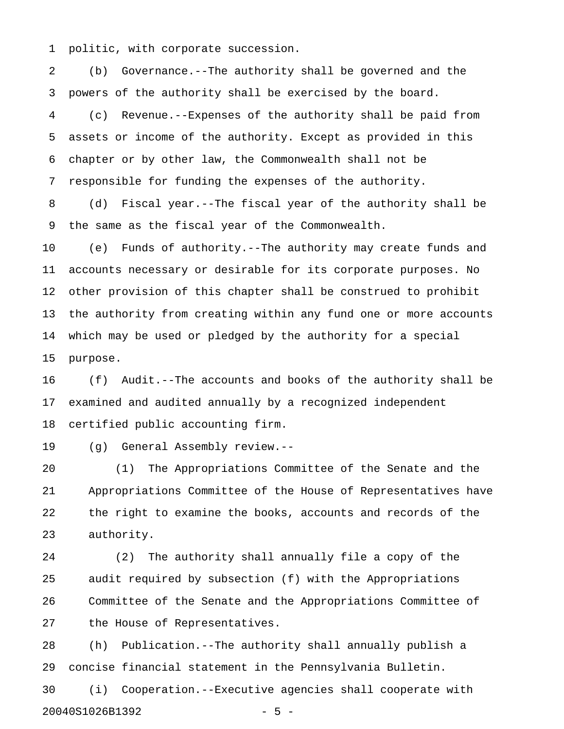1 politic, with corporate succession.

2 (b) Governance.--The authority shall be governed and the 3 powers of the authority shall be exercised by the board. 4 (c) Revenue.--Expenses of the authority shall be paid from 5 assets or income of the authority. Except as provided in this 6 chapter or by other law, the Commonwealth shall not be 7 responsible for funding the expenses of the authority.

8 (d) Fiscal year.--The fiscal year of the authority shall be 9 the same as the fiscal year of the Commonwealth.

10 (e) Funds of authority.--The authority may create funds and 11 accounts necessary or desirable for its corporate purposes. No 12 other provision of this chapter shall be construed to prohibit 13 the authority from creating within any fund one or more accounts 14 which may be used or pledged by the authority for a special 15 purpose.

16 (f) Audit.--The accounts and books of the authority shall be 17 examined and audited annually by a recognized independent 18 certified public accounting firm.

19 (g) General Assembly review.--

20 (1) The Appropriations Committee of the Senate and the 21 Appropriations Committee of the House of Representatives have 22 the right to examine the books, accounts and records of the 23 authority.

24 (2) The authority shall annually file a copy of the 25 audit required by subsection (f) with the Appropriations 26 Committee of the Senate and the Appropriations Committee of 27 the House of Representatives.

28 (h) Publication.--The authority shall annually publish a 29 concise financial statement in the Pennsylvania Bulletin. 30 (i) Cooperation.--Executive agencies shall cooperate with

20040S1026B1392 - 5 -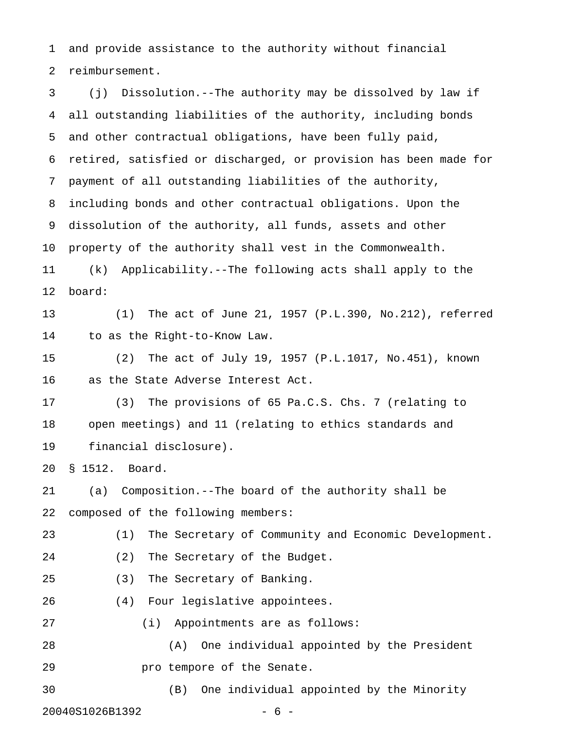1 and provide assistance to the authority without financial 2 reimbursement.

3 (j) Dissolution.--The authority may be dissolved by law if 4 all outstanding liabilities of the authority, including bonds 5 and other contractual obligations, have been fully paid, 6 retired, satisfied or discharged, or provision has been made for 7 payment of all outstanding liabilities of the authority, 8 including bonds and other contractual obligations. Upon the 9 dissolution of the authority, all funds, assets and other 10 property of the authority shall vest in the Commonwealth. 11 (k) Applicability.--The following acts shall apply to the 12 board: 13 (1) The act of June 21, 1957 (P.L.390, No.212), referred 14 to as the Right-to-Know Law. 15 (2) The act of July 19, 1957 (P.L.1017, No.451), known 16 as the State Adverse Interest Act. 17 (3) The provisions of 65 Pa.C.S. Chs. 7 (relating to 18 open meetings) and 11 (relating to ethics standards and 19 financial disclosure). 20 § 1512. Board. 21 (a) Composition.--The board of the authority shall be 22 composed of the following members: 23 (1) The Secretary of Community and Economic Development. 24 (2) The Secretary of the Budget. 25 (3) The Secretary of Banking. 26 (4) Four legislative appointees. 27 (i) Appointments are as follows: 28 (A) One individual appointed by the President 29 **pro tempore of the Senate.** 30 (B) One individual appointed by the Minority 20040S1026B1392 - 6 -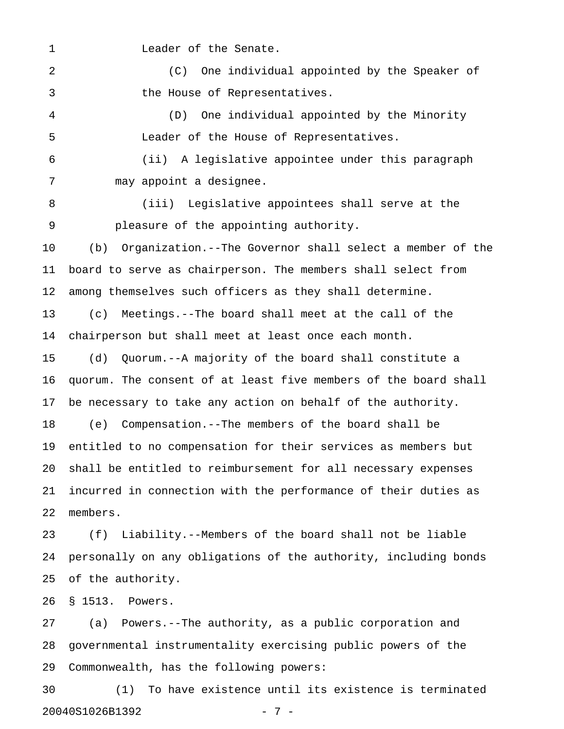1 Leader of the Senate.

2 (C) One individual appointed by the Speaker of 3 the House of Representatives.

4 (D) One individual appointed by the Minority 5 Leader of the House of Representatives.

6 (ii) A legislative appointee under this paragraph 7 may appoint a designee.

8 (iii) Legislative appointees shall serve at the 9 pleasure of the appointing authority.

10 (b) Organization.--The Governor shall select a member of the 11 board to serve as chairperson. The members shall select from 12 among themselves such officers as they shall determine.

13 (c) Meetings.--The board shall meet at the call of the 14 chairperson but shall meet at least once each month.

15 (d) Quorum.--A majority of the board shall constitute a 16 quorum. The consent of at least five members of the board shall 17 be necessary to take any action on behalf of the authority.

18 (e) Compensation.--The members of the board shall be 19 entitled to no compensation for their services as members but 20 shall be entitled to reimbursement for all necessary expenses 21 incurred in connection with the performance of their duties as 22 members.

23 (f) Liability.--Members of the board shall not be liable 24 personally on any obligations of the authority, including bonds 25 of the authority.

26 § 1513. Powers.

27 (a) Powers.--The authority, as a public corporation and 28 governmental instrumentality exercising public powers of the 29 Commonwealth, has the following powers:

30 (1) To have existence until its existence is terminated 20040S1026B1392 - 7 -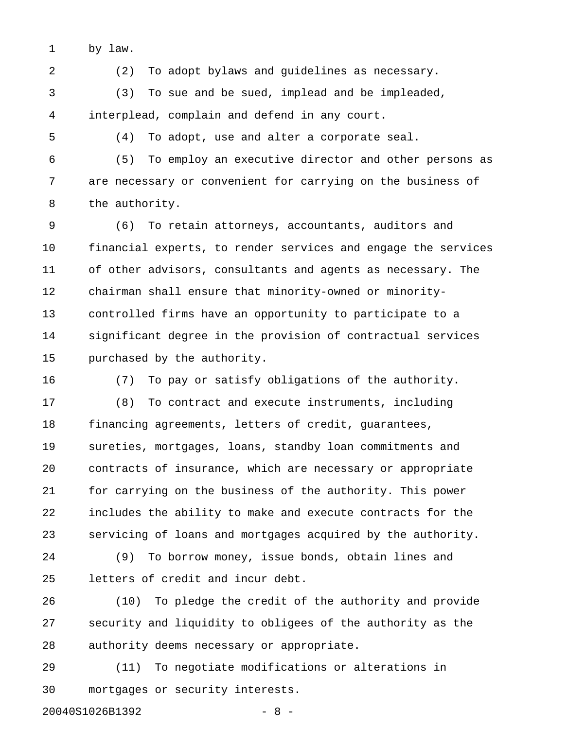1 by law.

2 (2) To adopt bylaws and guidelines as necessary.

3 (3) To sue and be sued, implead and be impleaded, 4 interplead, complain and defend in any court.

5 (4) To adopt, use and alter a corporate seal.

6 (5) To employ an executive director and other persons as 7 are necessary or convenient for carrying on the business of 8 the authority.

9 (6) To retain attorneys, accountants, auditors and 10 financial experts, to render services and engage the services 11 of other advisors, consultants and agents as necessary. The 12 chairman shall ensure that minority-owned or minority-13 controlled firms have an opportunity to participate to a 14 significant degree in the provision of contractual services 15 purchased by the authority.

16 (7) To pay or satisfy obligations of the authority.

17 (8) To contract and execute instruments, including 18 financing agreements, letters of credit, guarantees, 19 sureties, mortgages, loans, standby loan commitments and 20 contracts of insurance, which are necessary or appropriate 21 for carrying on the business of the authority. This power 22 includes the ability to make and execute contracts for the 23 servicing of loans and mortgages acquired by the authority.

24 (9) To borrow money, issue bonds, obtain lines and 25 letters of credit and incur debt.

26 (10) To pledge the credit of the authority and provide 27 security and liquidity to obligees of the authority as the 28 authority deems necessary or appropriate.

29 (11) To negotiate modifications or alterations in 30 mortgages or security interests.

20040S1026B1392 - 8 -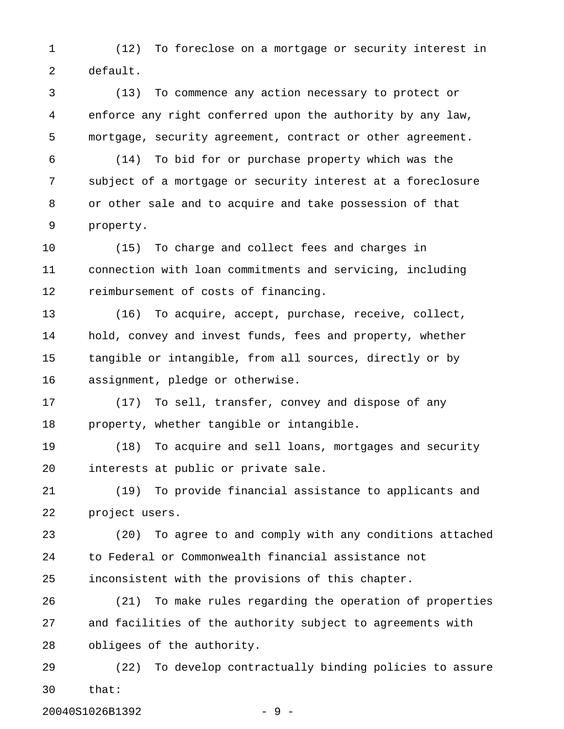1 (12) To foreclose on a mortgage or security interest in 2 default.

3 (13) To commence any action necessary to protect or 4 enforce any right conferred upon the authority by any law, 5 mortgage, security agreement, contract or other agreement.

6 (14) To bid for or purchase property which was the 7 subject of a mortgage or security interest at a foreclosure 8 or other sale and to acquire and take possession of that 9 property.

10 (15) To charge and collect fees and charges in 11 connection with loan commitments and servicing, including 12 reimbursement of costs of financing.

13 (16) To acquire, accept, purchase, receive, collect, 14 hold, convey and invest funds, fees and property, whether 15 tangible or intangible, from all sources, directly or by 16 assignment, pledge or otherwise.

17 (17) To sell, transfer, convey and dispose of any 18 property, whether tangible or intangible.

19 (18) To acquire and sell loans, mortgages and security 20 interests at public or private sale.

21 (19) To provide financial assistance to applicants and 22 project users.

23 (20) To agree to and comply with any conditions attached 24 to Federal or Commonwealth financial assistance not 25 inconsistent with the provisions of this chapter.

26 (21) To make rules regarding the operation of properties 27 and facilities of the authority subject to agreements with 28 obligees of the authority.

29 (22) To develop contractually binding policies to assure 30 that:

20040S1026B1392 - 9 -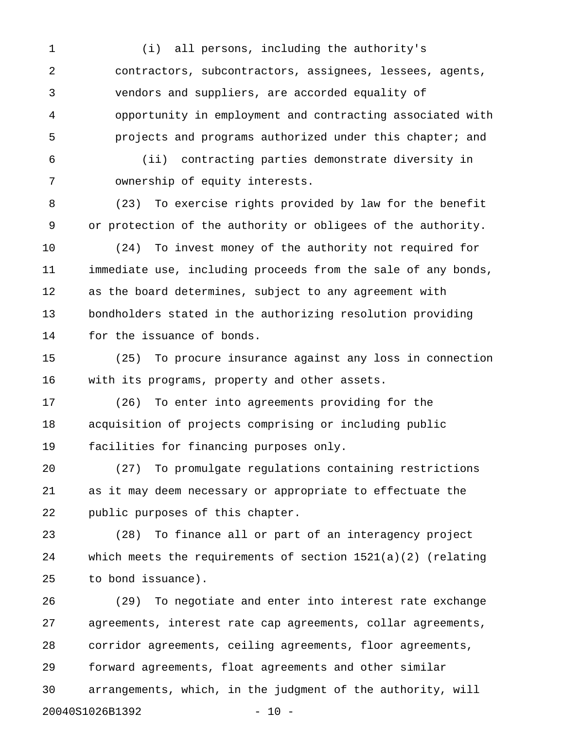1 (i) all persons, including the authority's 2 contractors, subcontractors, assignees, lessees, agents, 3 vendors and suppliers, are accorded equality of 4 opportunity in employment and contracting associated with 5 projects and programs authorized under this chapter; and

6 (ii) contracting parties demonstrate diversity in 7 ownership of equity interests.

8 (23) To exercise rights provided by law for the benefit 9 or protection of the authority or obligees of the authority.

10 (24) To invest money of the authority not required for 11 immediate use, including proceeds from the sale of any bonds, 12 as the board determines, subject to any agreement with 13 bondholders stated in the authorizing resolution providing 14 for the issuance of bonds.

15 (25) To procure insurance against any loss in connection 16 with its programs, property and other assets.

17 (26) To enter into agreements providing for the 18 acquisition of projects comprising or including public 19 facilities for financing purposes only.

20 (27) To promulgate regulations containing restrictions 21 as it may deem necessary or appropriate to effectuate the 22 public purposes of this chapter.

23 (28) To finance all or part of an interagency project 24 which meets the requirements of section 1521(a)(2) (relating 25 to bond issuance).

26 (29) To negotiate and enter into interest rate exchange 27 agreements, interest rate cap agreements, collar agreements, 28 corridor agreements, ceiling agreements, floor agreements, 29 forward agreements, float agreements and other similar 30 arrangements, which, in the judgment of the authority, will 20040S1026B1392 - 10 -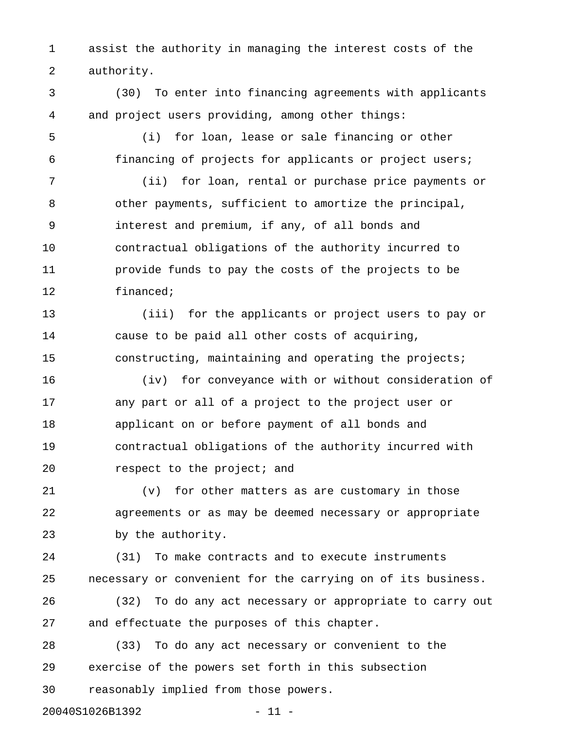1 assist the authority in managing the interest costs of the 2 authority.

3 (30) To enter into financing agreements with applicants 4 and project users providing, among other things:

- 
- 

5 (i) for loan, lease or sale financing or other 6 financing of projects for applicants or project users;

7 (ii) for loan, rental or purchase price payments or 8 other payments, sufficient to amortize the principal, 9 interest and premium, if any, of all bonds and 10 contractual obligations of the authority incurred to 11 provide funds to pay the costs of the projects to be 12 financed;

13 (iii) for the applicants or project users to pay or 14 cause to be paid all other costs of acquiring, 15 constructing, maintaining and operating the projects;

16 (iv) for conveyance with or without consideration of 17 any part or all of a project to the project user or 18 applicant on or before payment of all bonds and 19 contractual obligations of the authority incurred with 20 **respect** to the project; and

21 (v) for other matters as are customary in those 22 agreements or as may be deemed necessary or appropriate 23 by the authority.

24 (31) To make contracts and to execute instruments 25 necessary or convenient for the carrying on of its business.

26 (32) To do any act necessary or appropriate to carry out 27 and effectuate the purposes of this chapter.

28 (33) To do any act necessary or convenient to the 29 exercise of the powers set forth in this subsection 30 reasonably implied from those powers.

20040S1026B1392 - 11 -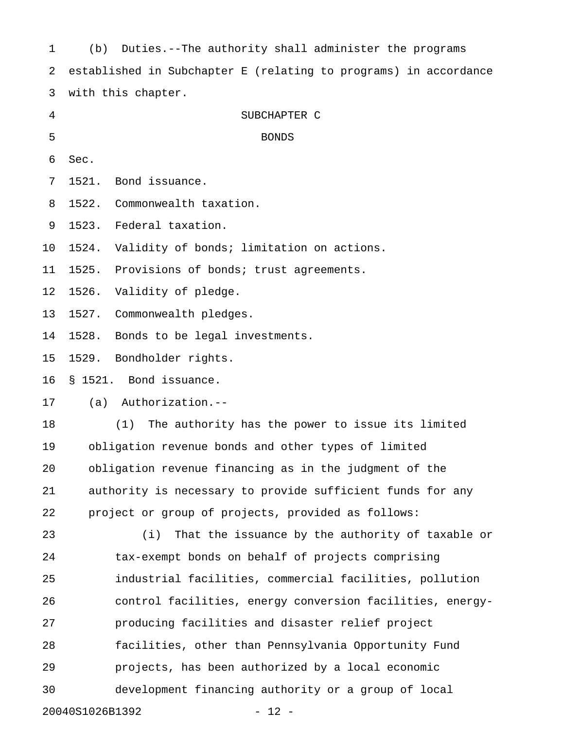| $\mathbf 1$                | Duties.--The authority shall administer the programs<br>(b)      |  |  |
|----------------------------|------------------------------------------------------------------|--|--|
| 2                          | established in Subchapter E (relating to programs) in accordance |  |  |
| 3                          | with this chapter.                                               |  |  |
| 4                          | SUBCHAPTER C                                                     |  |  |
| 5                          | <b>BONDS</b>                                                     |  |  |
| 6                          | Sec.                                                             |  |  |
| 7                          | Bond issuance.<br>1521.                                          |  |  |
| 8                          | 1522.<br>Commonwealth taxation.                                  |  |  |
| 9                          | Federal taxation.<br>1523.                                       |  |  |
| 10                         | Validity of bonds; limitation on actions.<br>1524.               |  |  |
| 11                         | 1525.<br>Provisions of bonds; trust agreements.                  |  |  |
| 12                         | 1526.<br>Validity of pledge.                                     |  |  |
| 13                         | 1527.<br>Commonwealth pledges.                                   |  |  |
| 14                         | Bonds to be legal investments.<br>1528.                          |  |  |
| 15                         | 1529.<br>Bondholder rights.                                      |  |  |
| 16                         | § 1521. Bond issuance.                                           |  |  |
| 17                         | Authorization.--<br>(a)                                          |  |  |
| 18                         | The authority has the power to issue its limited<br>(1)          |  |  |
| 19                         | obligation revenue bonds and other types of limited              |  |  |
| 20                         | obligation revenue financing as in the judgment of the           |  |  |
| 21                         | authority is necessary to provide sufficient funds for any       |  |  |
| 22                         | project or group of projects, provided as follows:               |  |  |
| 23                         | That the issuance by the authority of taxable or<br>(i)          |  |  |
| 24                         | tax-exempt bonds on behalf of projects comprising                |  |  |
| 25                         | industrial facilities, commercial facilities, pollution          |  |  |
| 26                         | control facilities, energy conversion facilities, energy-        |  |  |
| 27                         | producing facilities and disaster relief project                 |  |  |
| 28                         | facilities, other than Pennsylvania Opportunity Fund             |  |  |
| 29                         | projects, has been authorized by a local economic                |  |  |
| 30                         | development financing authority or a group of local              |  |  |
| 20040S1026B1392<br>$-12 -$ |                                                                  |  |  |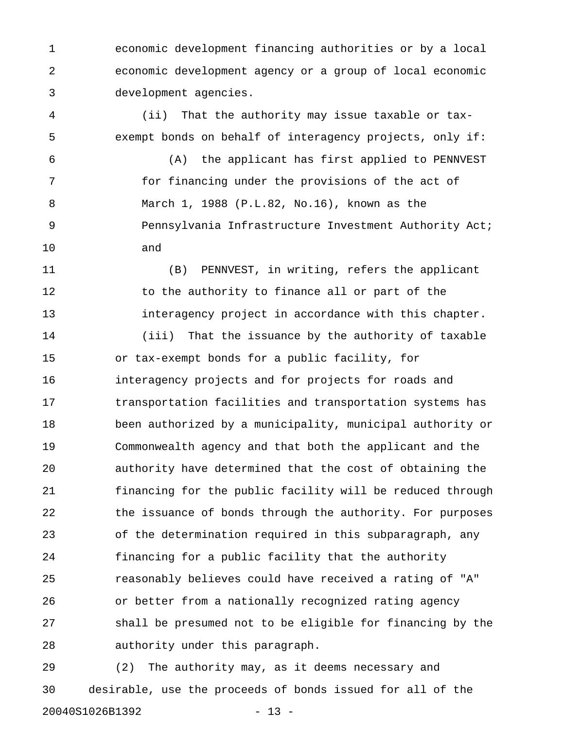1 economic development financing authorities or by a local 2 economic development agency or a group of local economic 3 development agencies.

4 (ii) That the authority may issue taxable or tax-5 exempt bonds on behalf of interagency projects, only if:

6 (A) the applicant has first applied to PENNVEST 7 for financing under the provisions of the act of 8 March 1, 1988 (P.L.82, No.16), known as the 9 Pennsylvania Infrastructure Investment Authority Act; 10 and

11 (B) PENNVEST, in writing, refers the applicant 12 to the authority to finance all or part of the 13 interagency project in accordance with this chapter.

14 (iii) That the issuance by the authority of taxable 15 or tax-exempt bonds for a public facility, for 16 interagency projects and for projects for roads and 17 transportation facilities and transportation systems has 18 been authorized by a municipality, municipal authority or 19 Commonwealth agency and that both the applicant and the 20 authority have determined that the cost of obtaining the 21 financing for the public facility will be reduced through 22 the issuance of bonds through the authority. For purposes 23 of the determination required in this subparagraph, any 24 financing for a public facility that the authority 25 reasonably believes could have received a rating of "A" 26 or better from a nationally recognized rating agency 27 shall be presumed not to be eligible for financing by the 28 authority under this paragraph.

29 (2) The authority may, as it deems necessary and 30 desirable, use the proceeds of bonds issued for all of the 20040S1026B1392 - 13 -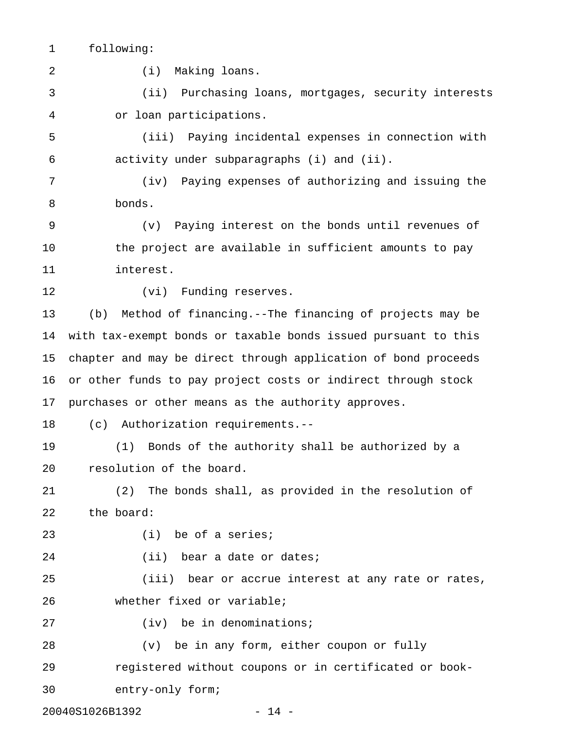1 following:

2 (i) Making loans.

3 (ii) Purchasing loans, mortgages, security interests 4 or loan participations.

5 (iii) Paying incidental expenses in connection with 6 activity under subparagraphs (i) and (ii).

7 (iv) Paying expenses of authorizing and issuing the 8 bonds.

9 (v) Paying interest on the bonds until revenues of 10 the project are available in sufficient amounts to pay 11 interest.

12 (vi) Funding reserves.

13 (b) Method of financing.--The financing of projects may be 14 with tax-exempt bonds or taxable bonds issued pursuant to this 15 chapter and may be direct through application of bond proceeds 16 or other funds to pay project costs or indirect through stock 17 purchases or other means as the authority approves.

18 (c) Authorization requirements.--

19 (1) Bonds of the authority shall be authorized by a 20 resolution of the board.

21 (2) The bonds shall, as provided in the resolution of 22 the board:

23 (i) be of a series;

24 (ii) bear a date or dates;

25 (iii) bear or accrue interest at any rate or rates, 26 whether fixed or variable;

27 (iv) be in denominations;

28 (v) be in any form, either coupon or fully 29 registered without coupons or in certificated or book-30 entry-only form;

20040S1026B1392 - 14 -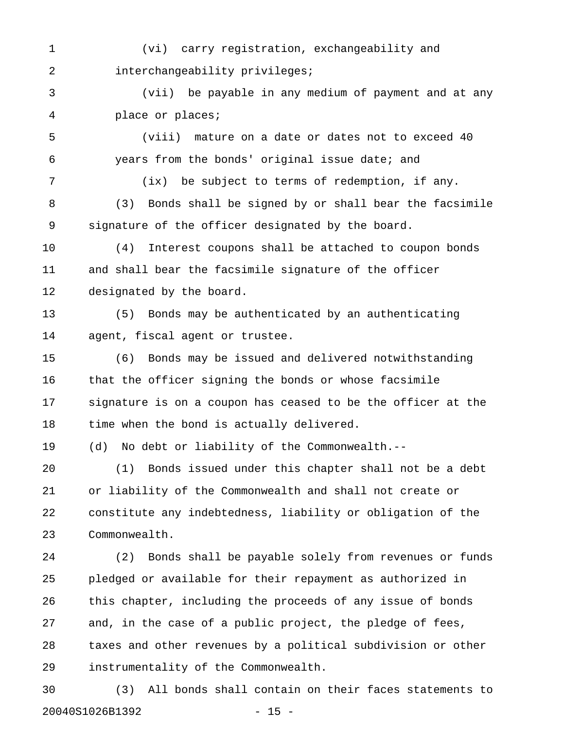1 (vi) carry registration, exchangeability and 2 interchangeability privileges;

3 (vii) be payable in any medium of payment and at any 4 place or places;

5 (viii) mature on a date or dates not to exceed 40 6 years from the bonds' original issue date; and

7 (ix) be subject to terms of redemption, if any. 8 (3) Bonds shall be signed by or shall bear the facsimile 9 signature of the officer designated by the board.

10 (4) Interest coupons shall be attached to coupon bonds 11 and shall bear the facsimile signature of the officer 12 designated by the board.

13 (5) Bonds may be authenticated by an authenticating 14 agent, fiscal agent or trustee.

15 (6) Bonds may be issued and delivered notwithstanding 16 that the officer signing the bonds or whose facsimile 17 signature is on a coupon has ceased to be the officer at the 18 time when the bond is actually delivered.

19 (d) No debt or liability of the Commonwealth.--

20 (1) Bonds issued under this chapter shall not be a debt 21 or liability of the Commonwealth and shall not create or 22 constitute any indebtedness, liability or obligation of the 23 Commonwealth.

24 (2) Bonds shall be payable solely from revenues or funds 25 pledged or available for their repayment as authorized in 26 this chapter, including the proceeds of any issue of bonds 27 and, in the case of a public project, the pledge of fees, 28 taxes and other revenues by a political subdivision or other 29 instrumentality of the Commonwealth.

30 (3) All bonds shall contain on their faces statements to 20040S1026B1392 - 15 -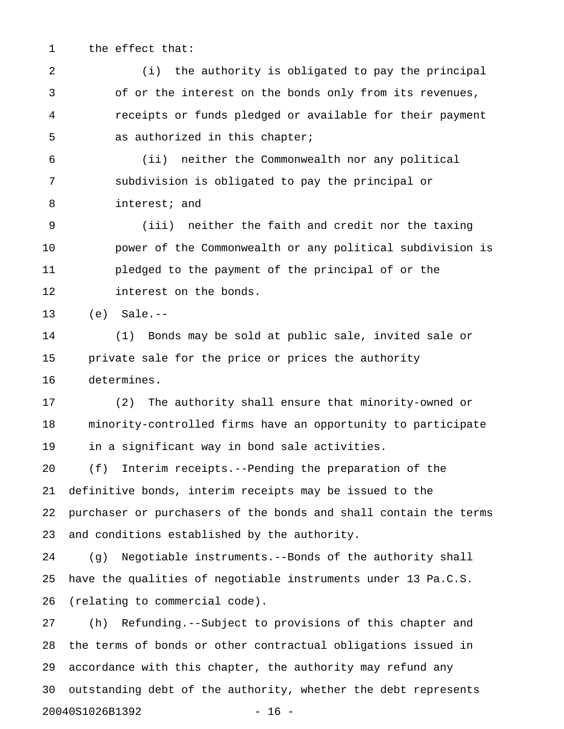1 the effect that:

2 (i) the authority is obligated to pay the principal 3 of or the interest on the bonds only from its revenues, 4 receipts or funds pledged or available for their payment 5 as authorized in this chapter;

6 (ii) neither the Commonwealth nor any political 7 subdivision is obligated to pay the principal or 8 interest; and

9 (iii) neither the faith and credit nor the taxing 10 power of the Commonwealth or any political subdivision is 11 pledged to the payment of the principal of or the 12 interest on the bonds.

13 (e) Sale.--

14 (1) Bonds may be sold at public sale, invited sale or 15 private sale for the price or prices the authority 16 determines.

17 (2) The authority shall ensure that minority-owned or 18 minority-controlled firms have an opportunity to participate 19 in a significant way in bond sale activities.

20 (f) Interim receipts.--Pending the preparation of the 21 definitive bonds, interim receipts may be issued to the 22 purchaser or purchasers of the bonds and shall contain the terms 23 and conditions established by the authority.

24 (g) Negotiable instruments.--Bonds of the authority shall 25 have the qualities of negotiable instruments under 13 Pa.C.S. 26 (relating to commercial code).

27 (h) Refunding.--Subject to provisions of this chapter and 28 the terms of bonds or other contractual obligations issued in 29 accordance with this chapter, the authority may refund any 30 outstanding debt of the authority, whether the debt represents 20040S1026B1392 - 16 -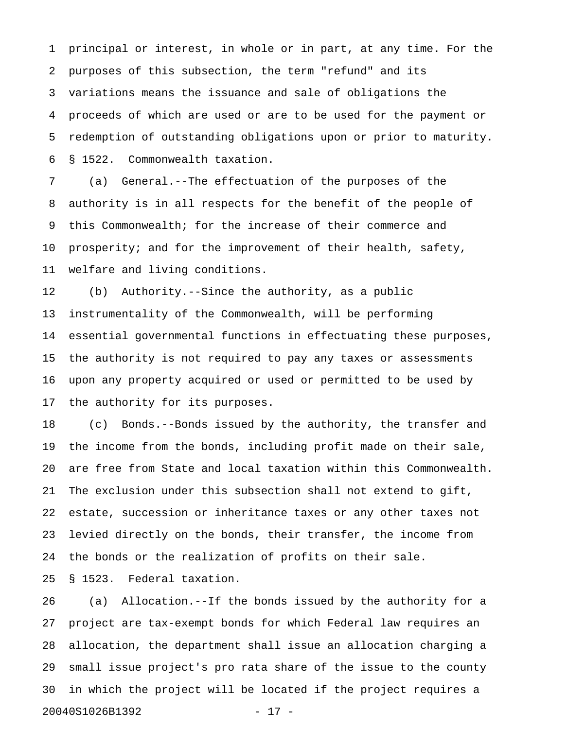1 principal or interest, in whole or in part, at any time. For the 2 purposes of this subsection, the term "refund" and its 3 variations means the issuance and sale of obligations the 4 proceeds of which are used or are to be used for the payment or 5 redemption of outstanding obligations upon or prior to maturity. 6 § 1522. Commonwealth taxation.

7 (a) General.--The effectuation of the purposes of the 8 authority is in all respects for the benefit of the people of 9 this Commonwealth; for the increase of their commerce and 10 prosperity; and for the improvement of their health, safety, 11 welfare and living conditions.

12 (b) Authority.--Since the authority, as a public 13 instrumentality of the Commonwealth, will be performing 14 essential governmental functions in effectuating these purposes, 15 the authority is not required to pay any taxes or assessments 16 upon any property acquired or used or permitted to be used by 17 the authority for its purposes.

18 (c) Bonds.--Bonds issued by the authority, the transfer and 19 the income from the bonds, including profit made on their sale, 20 are free from State and local taxation within this Commonwealth. 21 The exclusion under this subsection shall not extend to gift, 22 estate, succession or inheritance taxes or any other taxes not 23 levied directly on the bonds, their transfer, the income from 24 the bonds or the realization of profits on their sale.

25 § 1523. Federal taxation.

26 (a) Allocation.--If the bonds issued by the authority for a 27 project are tax-exempt bonds for which Federal law requires an 28 allocation, the department shall issue an allocation charging a 29 small issue project's pro rata share of the issue to the county 30 in which the project will be located if the project requires a 20040S1026B1392 - 17 -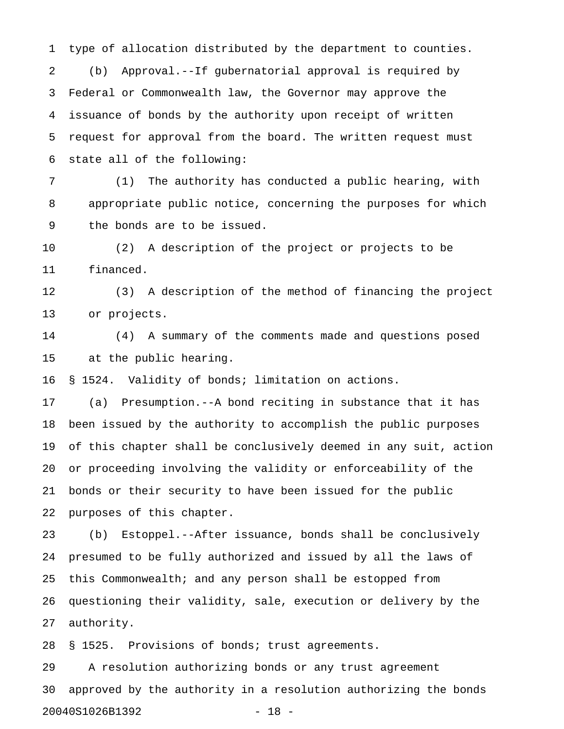1 type of allocation distributed by the department to counties. 2 (b) Approval.--If gubernatorial approval is required by 3 Federal or Commonwealth law, the Governor may approve the 4 issuance of bonds by the authority upon receipt of written 5 request for approval from the board. The written request must 6 state all of the following:

7 (1) The authority has conducted a public hearing, with 8 appropriate public notice, concerning the purposes for which 9 the bonds are to be issued.

10 (2) A description of the project or projects to be 11 financed.

12 (3) A description of the method of financing the project 13 or projects.

14 (4) A summary of the comments made and questions posed 15 at the public hearing.

16 § 1524. Validity of bonds; limitation on actions.

17 (a) Presumption.--A bond reciting in substance that it has 18 been issued by the authority to accomplish the public purposes 19 of this chapter shall be conclusively deemed in any suit, action 20 or proceeding involving the validity or enforceability of the 21 bonds or their security to have been issued for the public 22 purposes of this chapter.

23 (b) Estoppel.--After issuance, bonds shall be conclusively 24 presumed to be fully authorized and issued by all the laws of 25 this Commonwealth; and any person shall be estopped from 26 questioning their validity, sale, execution or delivery by the 27 authority.

28 § 1525. Provisions of bonds; trust agreements.

29 A resolution authorizing bonds or any trust agreement 30 approved by the authority in a resolution authorizing the bonds 20040S1026B1392 - 18 -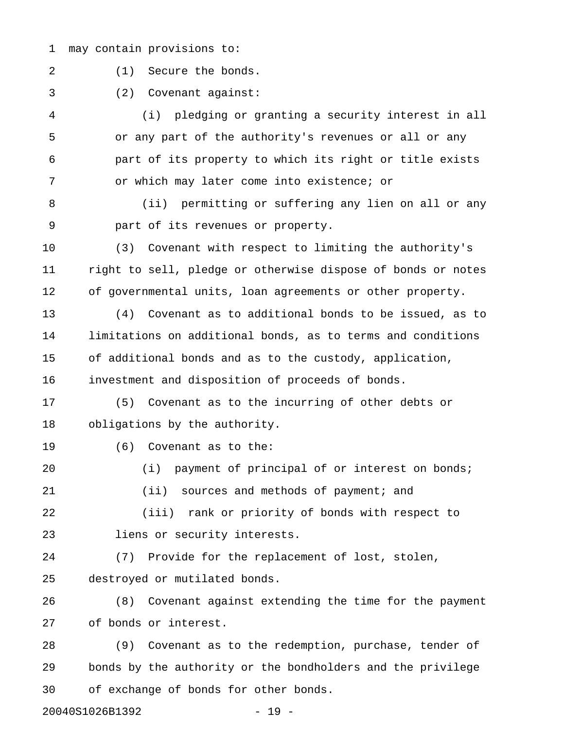1 may contain provisions to:

2 (1) Secure the bonds.

3 (2) Covenant against:

4 (i) pledging or granting a security interest in all 5 or any part of the authority's revenues or all or any 6 part of its property to which its right or title exists 7 or which may later come into existence; or

8 (ii) permitting or suffering any lien on all or any 9 part of its revenues or property.

10 (3) Covenant with respect to limiting the authority's 11 right to sell, pledge or otherwise dispose of bonds or notes 12 of governmental units, loan agreements or other property.

13 (4) Covenant as to additional bonds to be issued, as to 14 limitations on additional bonds, as to terms and conditions 15 of additional bonds and as to the custody, application, 16 investment and disposition of proceeds of bonds.

17 (5) Covenant as to the incurring of other debts or 18 obligations by the authority.

19 (6) Covenant as to the:

20 (i) payment of principal of or interest on bonds; 21 (ii) sources and methods of payment; and 22 (iii) rank or priority of bonds with respect to

23 liens or security interests.

24 (7) Provide for the replacement of lost, stolen, 25 destroyed or mutilated bonds.

26 (8) Covenant against extending the time for the payment 27 of bonds or interest.

28 (9) Covenant as to the redemption, purchase, tender of 29 bonds by the authority or the bondholders and the privilege 30 of exchange of bonds for other bonds.

20040S1026B1392 - 19 -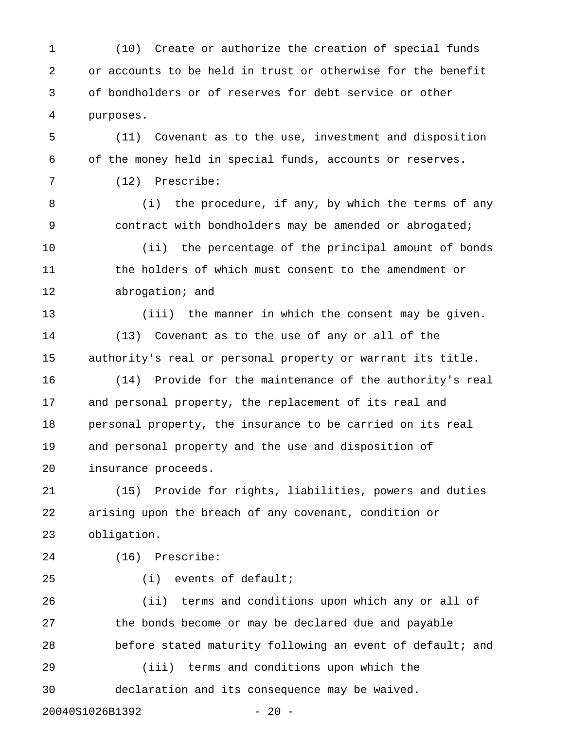1 (10) Create or authorize the creation of special funds 2 or accounts to be held in trust or otherwise for the benefit 3 of bondholders or of reserves for debt service or other 4 purposes.

5 (11) Covenant as to the use, investment and disposition 6 of the money held in special funds, accounts or reserves.

7 (12) Prescribe:

8 (i) the procedure, if any, by which the terms of any 9 contract with bondholders may be amended or abrogated; 10 (ii) the percentage of the principal amount of bonds 11 the holders of which must consent to the amendment or

12 abrogation; and

13 (iii) the manner in which the consent may be given. 14 (13) Covenant as to the use of any or all of the 15 authority's real or personal property or warrant its title. 16 (14) Provide for the maintenance of the authority's real

17 and personal property, the replacement of its real and 18 personal property, the insurance to be carried on its real 19 and personal property and the use and disposition of 20 insurance proceeds.

21 (15) Provide for rights, liabilities, powers and duties 22 arising upon the breach of any covenant, condition or 23 obligation.

24 (16) Prescribe:

25 (i) events of default;

26 (ii) terms and conditions upon which any or all of 27 the bonds become or may be declared due and payable 28 before stated maturity following an event of default; and

29 (iii) terms and conditions upon which the 30 declaration and its consequence may be waived.

20040S1026B1392 - 20 -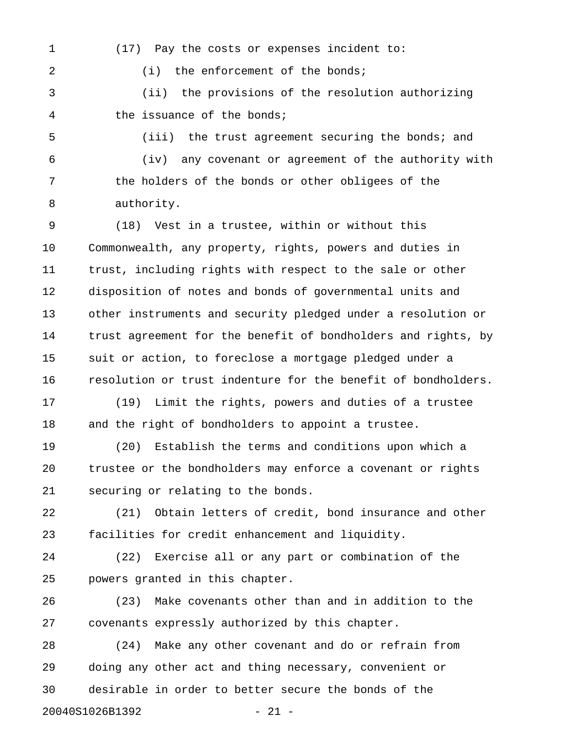1 (17) Pay the costs or expenses incident to:

2 (i) the enforcement of the bonds;

3 (ii) the provisions of the resolution authorizing 4 the issuance of the bonds;

5 (iii) the trust agreement securing the bonds; and

6 (iv) any covenant or agreement of the authority with 7 the holders of the bonds or other obligees of the 8 authority.

9 (18) Vest in a trustee, within or without this 10 Commonwealth, any property, rights, powers and duties in 11 trust, including rights with respect to the sale or other 12 disposition of notes and bonds of governmental units and 13 other instruments and security pledged under a resolution or 14 trust agreement for the benefit of bondholders and rights, by 15 suit or action, to foreclose a mortgage pledged under a 16 resolution or trust indenture for the benefit of bondholders.

17 (19) Limit the rights, powers and duties of a trustee 18 and the right of bondholders to appoint a trustee.

19 (20) Establish the terms and conditions upon which a 20 trustee or the bondholders may enforce a covenant or rights 21 securing or relating to the bonds.

22 (21) Obtain letters of credit, bond insurance and other 23 facilities for credit enhancement and liquidity.

24 (22) Exercise all or any part or combination of the 25 powers granted in this chapter.

26 (23) Make covenants other than and in addition to the 27 covenants expressly authorized by this chapter.

28 (24) Make any other covenant and do or refrain from 29 doing any other act and thing necessary, convenient or 30 desirable in order to better secure the bonds of the 20040S1026B1392 - 21 -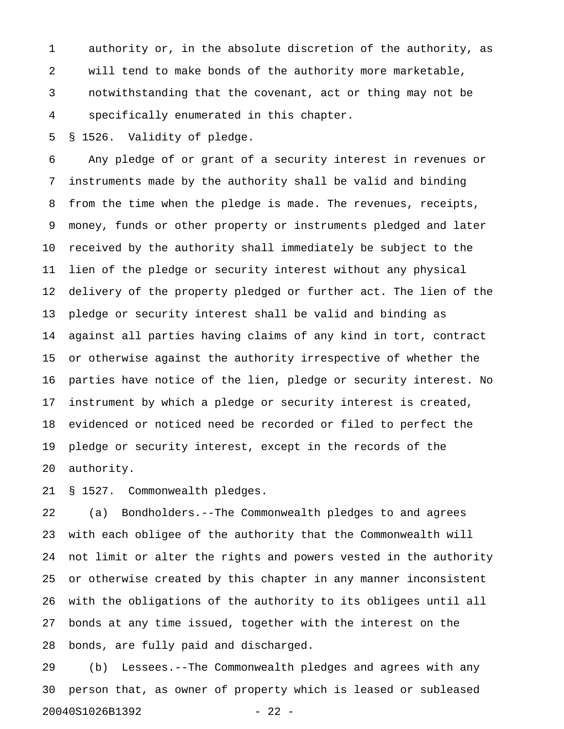1 authority or, in the absolute discretion of the authority, as 2 will tend to make bonds of the authority more marketable, 3 notwithstanding that the covenant, act or thing may not be 4 specifically enumerated in this chapter.

5 § 1526. Validity of pledge.

6 Any pledge of or grant of a security interest in revenues or 7 instruments made by the authority shall be valid and binding 8 from the time when the pledge is made. The revenues, receipts, 9 money, funds or other property or instruments pledged and later 10 received by the authority shall immediately be subject to the 11 lien of the pledge or security interest without any physical 12 delivery of the property pledged or further act. The lien of the 13 pledge or security interest shall be valid and binding as 14 against all parties having claims of any kind in tort, contract 15 or otherwise against the authority irrespective of whether the 16 parties have notice of the lien, pledge or security interest. No 17 instrument by which a pledge or security interest is created, 18 evidenced or noticed need be recorded or filed to perfect the 19 pledge or security interest, except in the records of the 20 authority.

21 § 1527. Commonwealth pledges.

22 (a) Bondholders.--The Commonwealth pledges to and agrees 23 with each obligee of the authority that the Commonwealth will 24 not limit or alter the rights and powers vested in the authority 25 or otherwise created by this chapter in any manner inconsistent 26 with the obligations of the authority to its obligees until all 27 bonds at any time issued, together with the interest on the 28 bonds, are fully paid and discharged.

29 (b) Lessees.--The Commonwealth pledges and agrees with any 30 person that, as owner of property which is leased or subleased 20040S1026B1392 - 22 -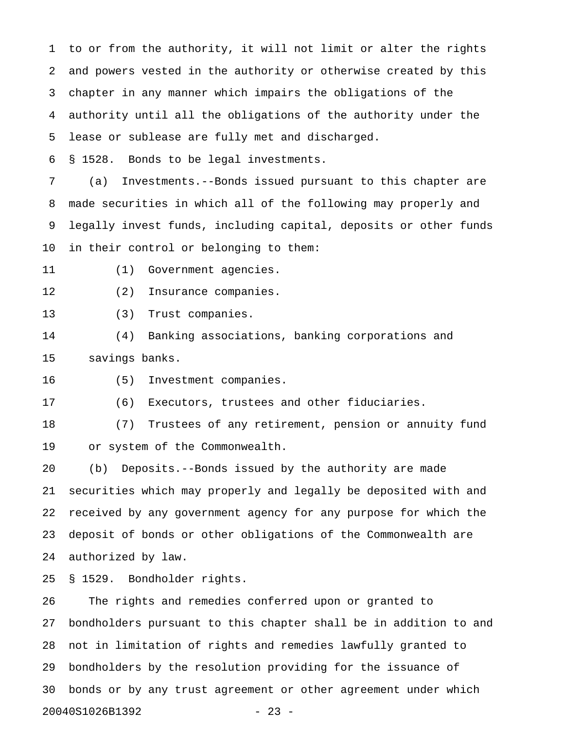1 to or from the authority, it will not limit or alter the rights 2 and powers vested in the authority or otherwise created by this 3 chapter in any manner which impairs the obligations of the 4 authority until all the obligations of the authority under the 5 lease or sublease are fully met and discharged.

6 § 1528. Bonds to be legal investments.

7 (a) Investments.--Bonds issued pursuant to this chapter are 8 made securities in which all of the following may properly and 9 legally invest funds, including capital, deposits or other funds 10 in their control or belonging to them:

11 (1) Government agencies.

12 (2) Insurance companies.

13 (3) Trust companies.

14 (4) Banking associations, banking corporations and 15 savings banks.

16 (5) Investment companies.

17 (6) Executors, trustees and other fiduciaries.

18 (7) Trustees of any retirement, pension or annuity fund 19 or system of the Commonwealth.

20 (b) Deposits.--Bonds issued by the authority are made 21 securities which may properly and legally be deposited with and 22 received by any government agency for any purpose for which the 23 deposit of bonds or other obligations of the Commonwealth are 24 authorized by law.

25 § 1529. Bondholder rights.

26 The rights and remedies conferred upon or granted to 27 bondholders pursuant to this chapter shall be in addition to and 28 not in limitation of rights and remedies lawfully granted to 29 bondholders by the resolution providing for the issuance of 30 bonds or by any trust agreement or other agreement under which 20040S1026B1392 - 23 -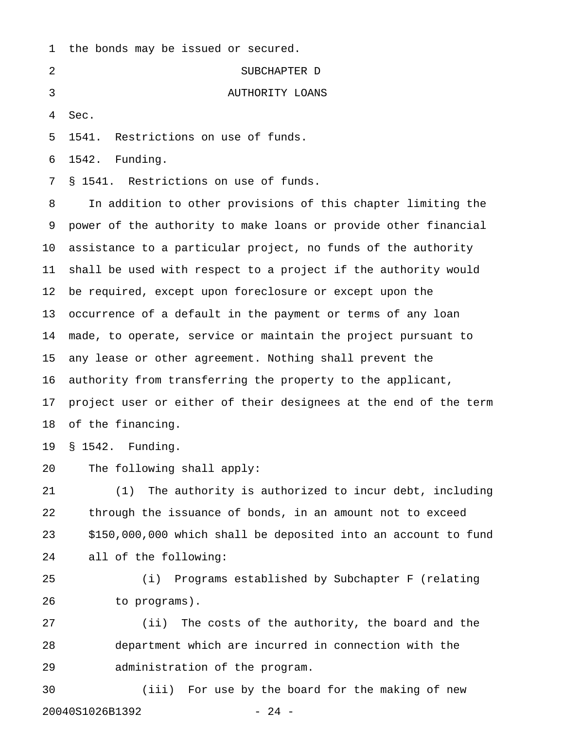| $\mathbf{1}$    | the bonds may be issued or secured.                              |
|-----------------|------------------------------------------------------------------|
| 2               | SUBCHAPTER D                                                     |
| 3               | AUTHORITY LOANS                                                  |
| 4               | Sec.                                                             |
| 5               | Restrictions on use of funds.<br>1541.                           |
| 6               | Funding.<br>1542.                                                |
| 7               | § 1541. Restrictions on use of funds.                            |
| 8               | In addition to other provisions of this chapter limiting the     |
| 9               | power of the authority to make loans or provide other financial  |
| 10 <sub>1</sub> | assistance to a particular project, no funds of the authority    |
| 11              | shall be used with respect to a project if the authority would   |
| 12              | be required, except upon foreclosure or except upon the          |
| 13              | occurrence of a default in the payment or terms of any loan      |
| 14              | made, to operate, service or maintain the project pursuant to    |
| 15              | any lease or other agreement. Nothing shall prevent the          |
| 16              | authority from transferring the property to the applicant,       |
| 17              | project user or either of their designees at the end of the term |
| 18              | of the financing.                                                |
|                 | 19 § 1542. Funding.                                              |
| 20              | The following shall apply:                                       |
| 21              | The authority is authorized to incur debt, including<br>(1)      |
| 22              | through the issuance of bonds, in an amount not to exceed        |
| 23              | \$150,000,000 which shall be deposited into an account to fund   |
| 24              | all of the following:                                            |
| 25              | Programs established by Subchapter F (relating<br>(i)            |
| 26              | to programs).                                                    |
| 27              | (ii) The costs of the authority, the board and the               |

28 department which are incurred in connection with the 29 administration of the program.

30 (iii) For use by the board for the making of new 20040S1026B1392 - 24 -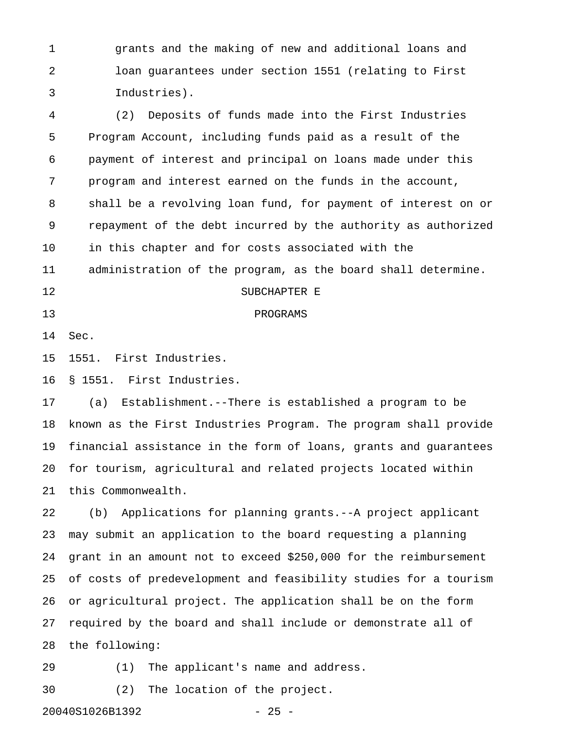1 grants and the making of new and additional loans and 2 loan guarantees under section 1551 (relating to First 3 Industries).

4 (2) Deposits of funds made into the First Industries 5 Program Account, including funds paid as a result of the 6 payment of interest and principal on loans made under this 7 program and interest earned on the funds in the account, 8 shall be a revolving loan fund, for payment of interest on or 9 repayment of the debt incurred by the authority as authorized 10 in this chapter and for costs associated with the 11 administration of the program, as the board shall determine. 12 SUBCHAPTER E

#### 13 PROGRAMS

14 Sec.

15 1551. First Industries.

16 § 1551. First Industries.

17 (a) Establishment.--There is established a program to be 18 known as the First Industries Program. The program shall provide 19 financial assistance in the form of loans, grants and guarantees 20 for tourism, agricultural and related projects located within 21 this Commonwealth.

22 (b) Applications for planning grants.--A project applicant 23 may submit an application to the board requesting a planning 24 grant in an amount not to exceed \$250,000 for the reimbursement 25 of costs of predevelopment and feasibility studies for a tourism 26 or agricultural project. The application shall be on the form 27 required by the board and shall include or demonstrate all of 28 the following:

29 (1) The applicant's name and address.

30 (2) The location of the project.

20040S1026B1392 - 25 -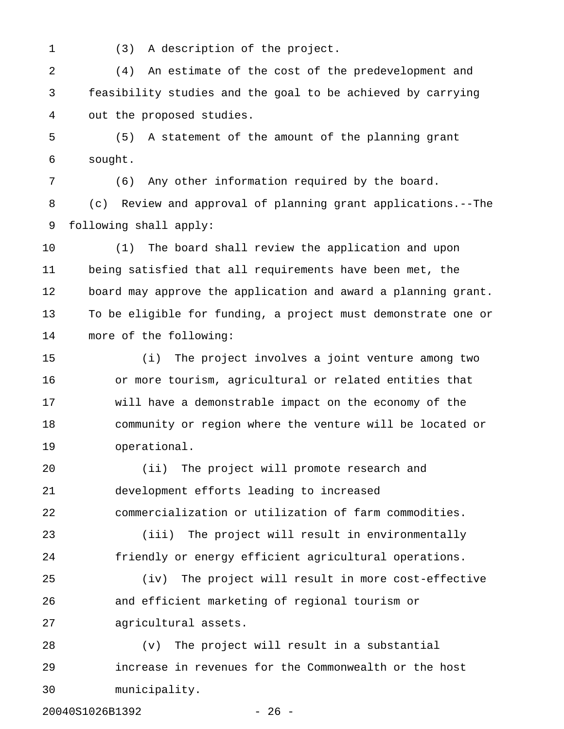1 (3) A description of the project.

2 (4) An estimate of the cost of the predevelopment and 3 feasibility studies and the goal to be achieved by carrying 4 out the proposed studies.

5 (5) A statement of the amount of the planning grant 6 sought.

7 (6) Any other information required by the board. 8 (c) Review and approval of planning grant applications.--The 9 following shall apply:

10 (1) The board shall review the application and upon 11 being satisfied that all requirements have been met, the 12 board may approve the application and award a planning grant. 13 To be eligible for funding, a project must demonstrate one or 14 more of the following:

15 (i) The project involves a joint venture among two 16 or more tourism, agricultural or related entities that 17 will have a demonstrable impact on the economy of the 18 community or region where the venture will be located or 19 operational.

20 (ii) The project will promote research and 21 development efforts leading to increased 22 commercialization or utilization of farm commodities.

23 (iii) The project will result in environmentally 24 friendly or energy efficient agricultural operations.

25 (iv) The project will result in more cost-effective 26 and efficient marketing of regional tourism or 27 agricultural assets.

28 (v) The project will result in a substantial 29 increase in revenues for the Commonwealth or the host 30 municipality.

20040S1026B1392 - 26 -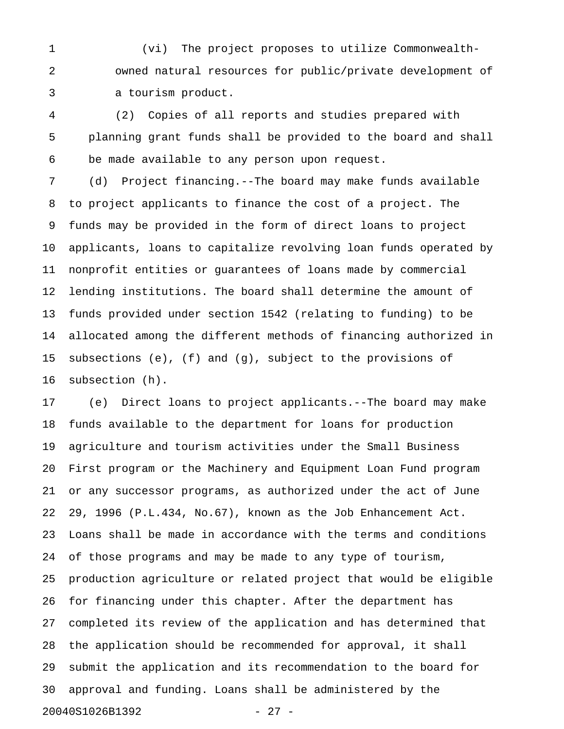1 (vi) The project proposes to utilize Commonwealth-2 owned natural resources for public/private development of 3 a tourism product.

4 (2) Copies of all reports and studies prepared with 5 planning grant funds shall be provided to the board and shall 6 be made available to any person upon request.

7 (d) Project financing.--The board may make funds available 8 to project applicants to finance the cost of a project. The 9 funds may be provided in the form of direct loans to project 10 applicants, loans to capitalize revolving loan funds operated by 11 nonprofit entities or guarantees of loans made by commercial 12 lending institutions. The board shall determine the amount of 13 funds provided under section 1542 (relating to funding) to be 14 allocated among the different methods of financing authorized in 15 subsections (e), (f) and (g), subject to the provisions of 16 subsection (h).

17 (e) Direct loans to project applicants.--The board may make 18 funds available to the department for loans for production 19 agriculture and tourism activities under the Small Business 20 First program or the Machinery and Equipment Loan Fund program 21 or any successor programs, as authorized under the act of June 22 29, 1996 (P.L.434, No.67), known as the Job Enhancement Act. 23 Loans shall be made in accordance with the terms and conditions 24 of those programs and may be made to any type of tourism, 25 production agriculture or related project that would be eligible 26 for financing under this chapter. After the department has 27 completed its review of the application and has determined that 28 the application should be recommended for approval, it shall 29 submit the application and its recommendation to the board for 30 approval and funding. Loans shall be administered by the 20040S1026B1392 - 27 -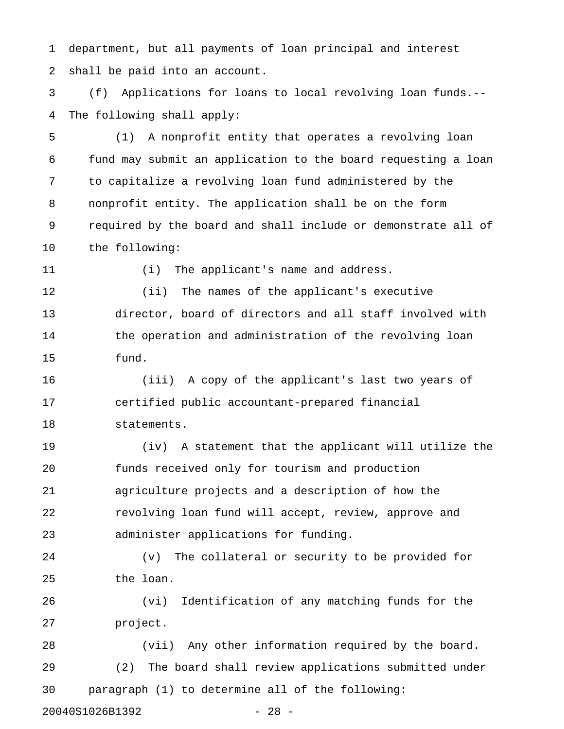1 department, but all payments of loan principal and interest 2 shall be paid into an account.

3 (f) Applications for loans to local revolving loan funds.-- 4 The following shall apply:

5 (1) A nonprofit entity that operates a revolving loan 6 fund may submit an application to the board requesting a loan 7 to capitalize a revolving loan fund administered by the 8 nonprofit entity. The application shall be on the form 9 required by the board and shall include or demonstrate all of 10 the following:

11 (i) The applicant's name and address.

12 (ii) The names of the applicant's executive 13 director, board of directors and all staff involved with 14 the operation and administration of the revolving loan 15 fund.

16 (iii) A copy of the applicant's last two years of 17 certified public accountant-prepared financial 18 statements.

19 (iv) A statement that the applicant will utilize the 20 funds received only for tourism and production 21 agriculture projects and a description of how the 22 revolving loan fund will accept, review, approve and 23 administer applications for funding.

24 (v) The collateral or security to be provided for 25 the loan.

26 (vi) Identification of any matching funds for the 27 project.

28 (vii) Any other information required by the board. 29 (2) The board shall review applications submitted under 30 paragraph (1) to determine all of the following:

20040S1026B1392 - 28 -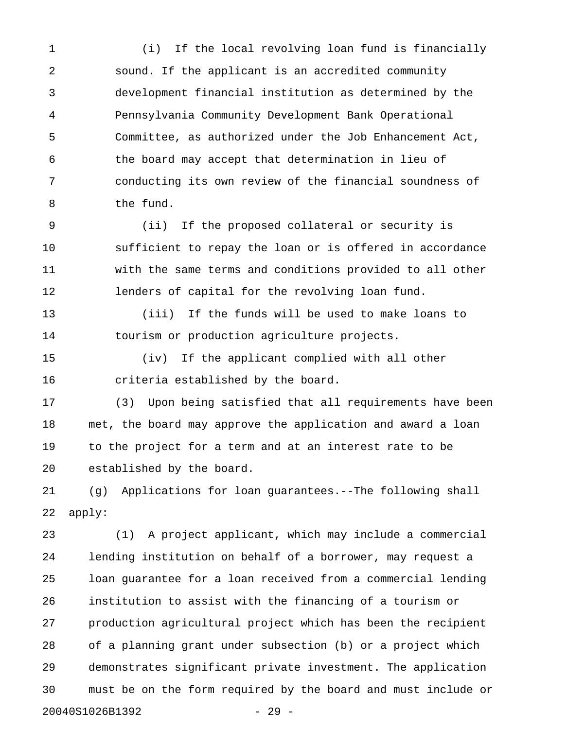1 (i) If the local revolving loan fund is financially 2 sound. If the applicant is an accredited community 3 development financial institution as determined by the 4 Pennsylvania Community Development Bank Operational 5 Committee, as authorized under the Job Enhancement Act, 6 the board may accept that determination in lieu of 7 conducting its own review of the financial soundness of 8 the fund.

9 (ii) If the proposed collateral or security is 10 sufficient to repay the loan or is offered in accordance 11 with the same terms and conditions provided to all other 12 lenders of capital for the revolving loan fund.

13 (iii) If the funds will be used to make loans to 14 tourism or production agriculture projects.

15 (iv) If the applicant complied with all other 16 criteria established by the board.

17 (3) Upon being satisfied that all requirements have been 18 met, the board may approve the application and award a loan 19 to the project for a term and at an interest rate to be 20 established by the board.

21 (g) Applications for loan guarantees.--The following shall 22 apply:

23 (1) A project applicant, which may include a commercial 24 lending institution on behalf of a borrower, may request a 25 loan guarantee for a loan received from a commercial lending 26 institution to assist with the financing of a tourism or 27 production agricultural project which has been the recipient 28 of a planning grant under subsection (b) or a project which 29 demonstrates significant private investment. The application 30 must be on the form required by the board and must include or 20040S1026B1392 - 29 -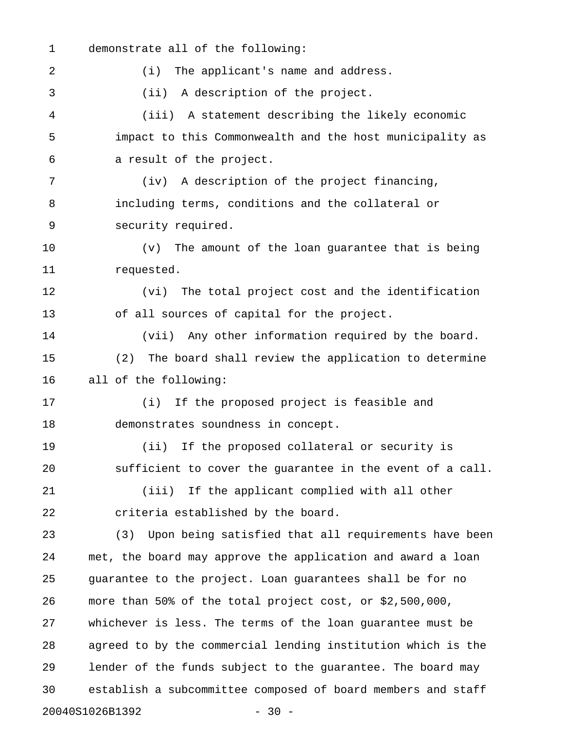1 demonstrate all of the following:

2 (i) The applicant's name and address. 3 (ii) A description of the project. 4 (iii) A statement describing the likely economic 5 impact to this Commonwealth and the host municipality as 6 a result of the project. 7 (iv) A description of the project financing, 8 including terms, conditions and the collateral or 9 security required. 10 (v) The amount of the loan guarantee that is being 11 requested. 12 (vi) The total project cost and the identification 13 of all sources of capital for the project. 14 (vii) Any other information required by the board. 15 (2) The board shall review the application to determine 16 all of the following: 17 (i) If the proposed project is feasible and 18 demonstrates soundness in concept. 19 (ii) If the proposed collateral or security is 20 sufficient to cover the guarantee in the event of a call. 21 (iii) If the applicant complied with all other 22 criteria established by the board. 23 (3) Upon being satisfied that all requirements have been 24 met, the board may approve the application and award a loan 25 guarantee to the project. Loan guarantees shall be for no 26 more than 50% of the total project cost, or \$2,500,000, 27 whichever is less. The terms of the loan guarantee must be 28 agreed to by the commercial lending institution which is the 29 lender of the funds subject to the guarantee. The board may 30 establish a subcommittee composed of board members and staff

20040S1026B1392 - 30 -